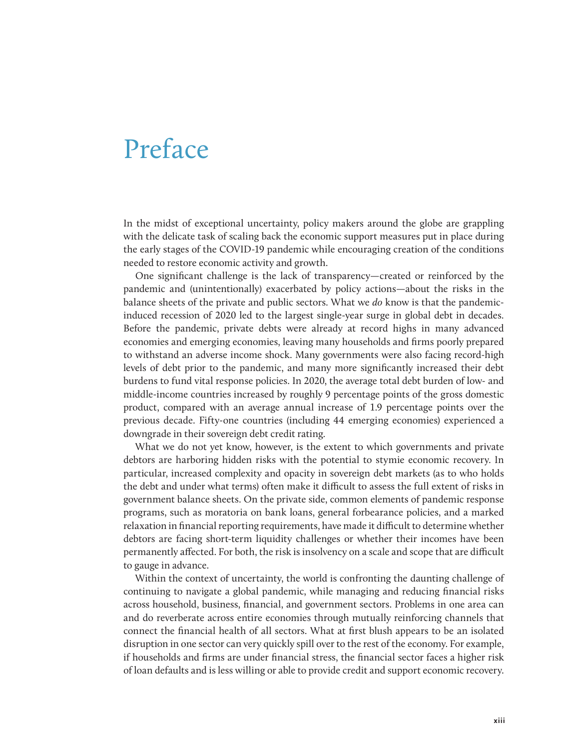## Preface

In the midst of exceptional uncertainty, policy makers around the globe are grappling with the delicate task of scaling back the economic support measures put in place during the early stages of the COVID-19 pandemic while encouraging creation of the conditions needed to restore economic activity and growth.

One significant challenge is the lack of transparency—created or reinforced by the pandemic and (unintentionally) exacerbated by policy actions—about the risks in the balance sheets of the private and public sectors. What we *do* know is that the pandemicinduced recession of 2020 led to the largest single-year surge in global debt in decades. Before the pandemic, private debts were already at record highs in many advanced economies and emerging economies, leaving many households and firms poorly prepared to withstand an adverse income shock. Many governments were also facing record-high levels of debt prior to the pandemic, and many more significantly increased their debt burdens to fund vital response policies. In 2020, the average total debt burden of low- and middle-income countries increased by roughly 9 percentage points of the gross domestic product, compared with an average annual increase of 1.9 percentage points over the previous decade. Fifty-one countries (including 44 emerging economies) experienced a downgrade in their sovereign debt credit rating.

What we do not yet know, however, is the extent to which governments and private debtors are harboring hidden risks with the potential to stymie economic recovery. In particular, increased complexity and opacity in sovereign debt markets (as to who holds the debt and under what terms) often make it difficult to assess the full extent of risks in government balance sheets. On the private side, common elements of pandemic response programs, such as moratoria on bank loans, general forbearance policies, and a marked relaxation in financial reporting requirements, have made it difficult to determine whether debtors are facing short-term liquidity challenges or whether their incomes have been permanently affected. For both, the risk is insolvency on a scale and scope that are difficult to gauge in advance.

Within the context of uncertainty, the world is confronting the daunting challenge of continuing to navigate a global pandemic, while managing and reducing financial risks across household, business, financial, and government sectors. Problems in one area can and do reverberate across entire economies through mutually reinforcing channels that connect the financial health of all sectors. What at first blush appears to be an isolated disruption in one sector can very quickly spill over to the rest of the economy. For example, if households and firms are under financial stress, the financial sector faces a higher risk of loan defaults and is less willing or able to provide credit and support economic recovery.